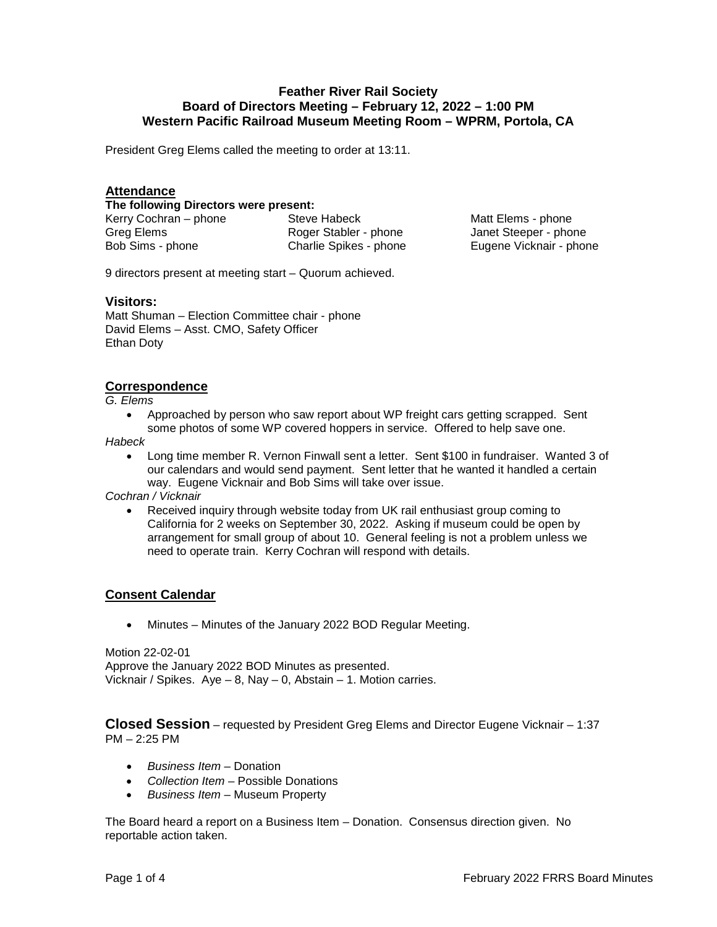# **Feather River Rail Society Board of Directors Meeting – February 12, 2022 – 1:00 PM Western Pacific Railroad Museum Meeting Room – WPRM, Portola, CA**

President Greg Elems called the meeting to order at 13:11.

## **Attendance**

**The following Directors were present:** 

Kerry Cochran – phone Steve Habeck Greg Elems Bob Sims - phone

Roger Stabler - phone Charlie Spikes - phone

Matt Elems - phone Janet Steeper - phone Eugene Vicknair - phone

9 directors present at meeting start – Quorum achieved.

#### **Visitors:**

Matt Shuman – Election Committee chair - phone David Elems – Asst. CMO, Safety Officer Ethan Doty

## **Correspondence**

*G. Elems*

• Approached by person who saw report about WP freight cars getting scrapped. Sent some photos of some WP covered hoppers in service. Offered to help save one.

*Habeck* 

• Long time member R. Vernon Finwall sent a letter. Sent \$100 in fundraiser. Wanted 3 of our calendars and would send payment. Sent letter that he wanted it handled a certain way. Eugene Vicknair and Bob Sims will take over issue.

*Cochran / Vicknair*

• Received inquiry through website today from UK rail enthusiast group coming to California for 2 weeks on September 30, 2022. Asking if museum could be open by arrangement for small group of about 10. General feeling is not a problem unless we need to operate train. Kerry Cochran will respond with details.

## **Consent Calendar**

• Minutes – Minutes of the January 2022 BOD Regular Meeting.

Motion 22-02-01 Approve the January 2022 BOD Minutes as presented. Vicknair / Spikes.  $Aye - 8$ , Nay  $- 0$ , Abstain  $- 1$ . Motion carries.

**Closed Session** – requested by President Greg Elems and Director Eugene Vicknair – 1:37 PM – 2:25 PM

- *Business Item* Donation
- *Collection Item* Possible Donations
- *Business Item* Museum Property

The Board heard a report on a Business Item – Donation. Consensus direction given. No reportable action taken.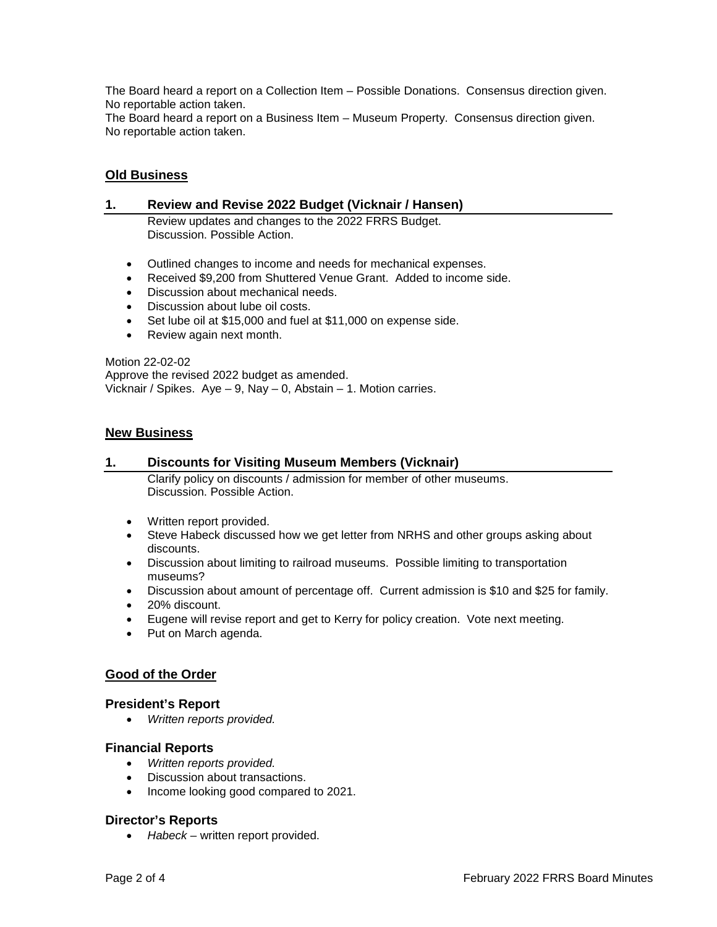The Board heard a report on a Collection Item – Possible Donations. Consensus direction given. No reportable action taken.

The Board heard a report on a Business Item – Museum Property. Consensus direction given. No reportable action taken.

# **Old Business**

#### **1. Review and Revise 2022 Budget (Vicknair / Hansen)**

Review updates and changes to the 2022 FRRS Budget. Discussion. Possible Action.

- Outlined changes to income and needs for mechanical expenses.
- Received \$9,200 from Shuttered Venue Grant. Added to income side.
- Discussion about mechanical needs.
- Discussion about lube oil costs.
- Set lube oil at \$15,000 and fuel at \$11,000 on expense side.
- Review again next month.

Motion 22-02-02 Approve the revised 2022 budget as amended. Vicknair / Spikes. Aye – 9, Nay – 0, Abstain – 1. Motion carries.

#### **New Business**

#### **1. Discounts for Visiting Museum Members (Vicknair)**

Clarify policy on discounts / admission for member of other museums. Discussion. Possible Action.

- Written report provided.
- Steve Habeck discussed how we get letter from NRHS and other groups asking about discounts.
- Discussion about limiting to railroad museums. Possible limiting to transportation museums?
- Discussion about amount of percentage off. Current admission is \$10 and \$25 for family.
- 20% discount.
- Eugene will revise report and get to Kerry for policy creation. Vote next meeting.
- Put on March agenda.

## **Good of the Order**

#### **President's Report**

• *Written reports provided.*

## **Financial Reports**

- *Written reports provided.*
- Discussion about transactions.
- Income looking good compared to 2021.

## **Director's Reports**

• *Habeck* – written report provided.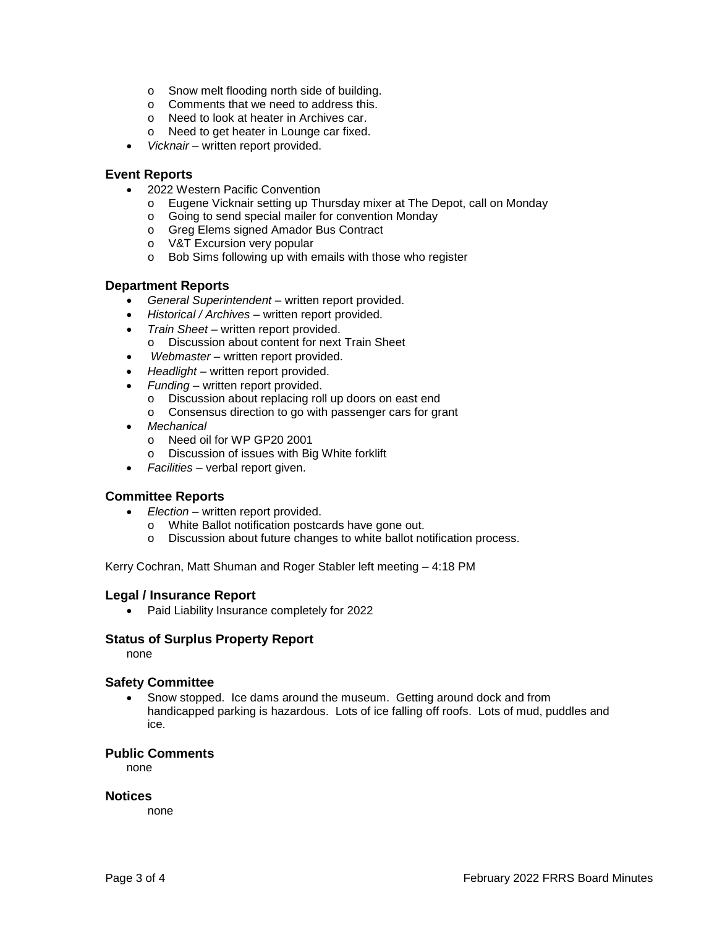- o Snow melt flooding north side of building.
- o Comments that we need to address this.
- o Need to look at heater in Archives car.
- o Need to get heater in Lounge car fixed.
- *Vicknair* written report provided.

#### **Event Reports**

- 2022 Western Pacific Convention
	- o Eugene Vicknair setting up Thursday mixer at The Depot, call on Monday
	- o Going to send special mailer for convention Monday
	- o Greg Elems signed Amador Bus Contract
	- o V&T Excursion very popular
	- o Bob Sims following up with emails with those who register

## **Department Reports**

- *General Superintendent* written report provided.
- *Historical / Archives* written report provided.
- *Train Sheet* written report provided.
- o Discussion about content for next Train Sheet
- *Webmaster* written report provided.
- *Headlight* written report provided.
- *Funding*  written report provided.
	- o Discussion about replacing roll up doors on east end
	- o Consensus direction to go with passenger cars for grant
- *Mechanical*
	- o Need oil for WP GP20 2001
	- o Discussion of issues with Big White forklift
- *Facilities* verbal report given.

## **Committee Reports**

- *Election* written report provided.
	- o White Ballot notification postcards have gone out.
	- o Discussion about future changes to white ballot notification process.

Kerry Cochran, Matt Shuman and Roger Stabler left meeting – 4:18 PM

## **Legal / Insurance Report**

• Paid Liability Insurance completely for 2022

#### **Status of Surplus Property Report**

none

## **Safety Committee**

• Snow stopped. Ice dams around the museum. Getting around dock and from handicapped parking is hazardous. Lots of ice falling off roofs. Lots of mud, puddles and ice.

#### **Public Comments**

none

#### **Notices**

none